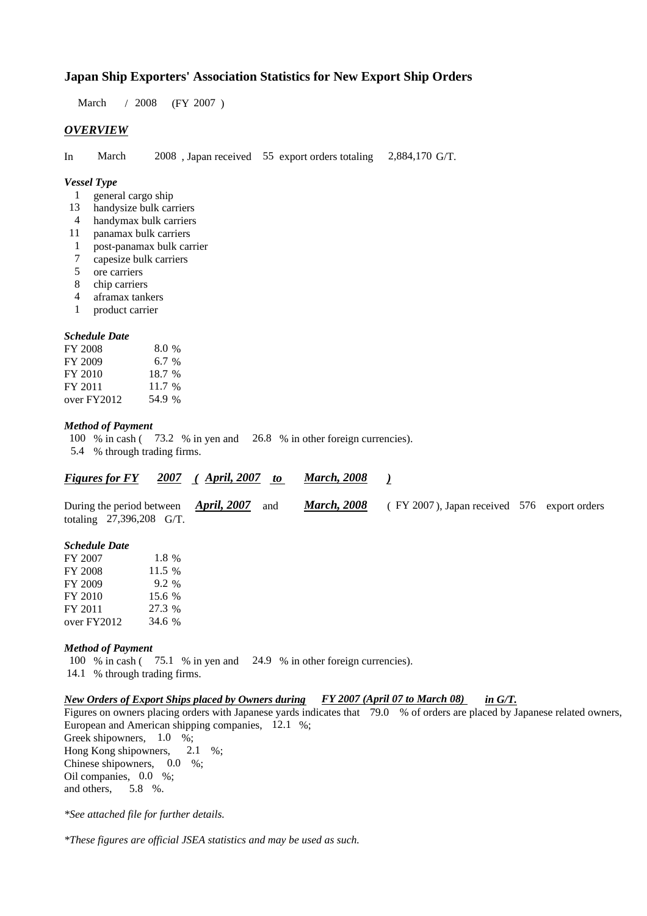## **Japan Ship Exporters' Association Statistics for New Export Ship Orders**

 $/ 2008$  (FY 2007) March / 2008

### *OVERVIEW*

In March 2008, Japan received 55 export orders totaling 2,884,170 G/T. March

#### *Vessel Type*

- general cargo ship 1
- handysize bulk carriers 13
- handymax bulk carriers 4
- panamax bulk carriers 11
- post-panamax bulk carrier 1
- capesize bulk carriers 7
- ore carriers 5
- chip carriers 8
- aframax tankers 4
- product carrier 1

#### *Schedule Date*

| FY 2008     | 8.0 %  |
|-------------|--------|
| FY 2009     | 6.7%   |
| FY 2010     | 18.7 % |
| FY 2011     | 11.7 % |
| over FY2012 | 54.9 % |

#### *Method of Payment*

100 % in cash ( $\frac{73.2}{8}$  % in yen and  $\frac{26.8}{8}$  % in other foreign currencies).

5.4 % through trading firms.

#### *<u>Figures for FY 2007 (April, 2007 to March, 2008 )</u> March, 2008*

| During the period between <i>April</i> , 2007 and |  | <b>March, 2008</b> (FY 2007), Japan received 576 export orders |  |
|---------------------------------------------------|--|----------------------------------------------------------------|--|
| totaling 27,396,208 G/T.                          |  |                                                                |  |

#### *Schedule Date*

| FY 2007     | 1.8 %  |
|-------------|--------|
| FY 2008     | 11.5 % |
| FY 2009     | 9.2 %  |
| FY 2010     | 15.6 % |
| FY 2011     | 27.3 % |
| over FY2012 | 34.6 % |

#### *Method of Payment*

100 % in cash ( $\frac{75.1}{8}$  % in yen and  $\frac{24.9}{8}$  % in other foreign currencies). 14.1 % through trading firms.

#### *New Orders of Export Ships placed by Owners during FY 2007 (April 07 to March 08) in G/T.*

Figures on owners placing orders with Japanese yards indicates that 79.0 % of orders are placed by Japanese related owners, European and American shipping companies, 12.1 %;

Greek shipowners,  $1.0\%$ ; Hong Kong shipowners, Chinese shipowners,  $0.0\%$ ; Oil companies, 0.0 %; and others, 5.8 %.  $2.1 \quad \%$ ;

*\*See attached file for further details.*

*\*These figures are official JSEA statistics and may be used as such.*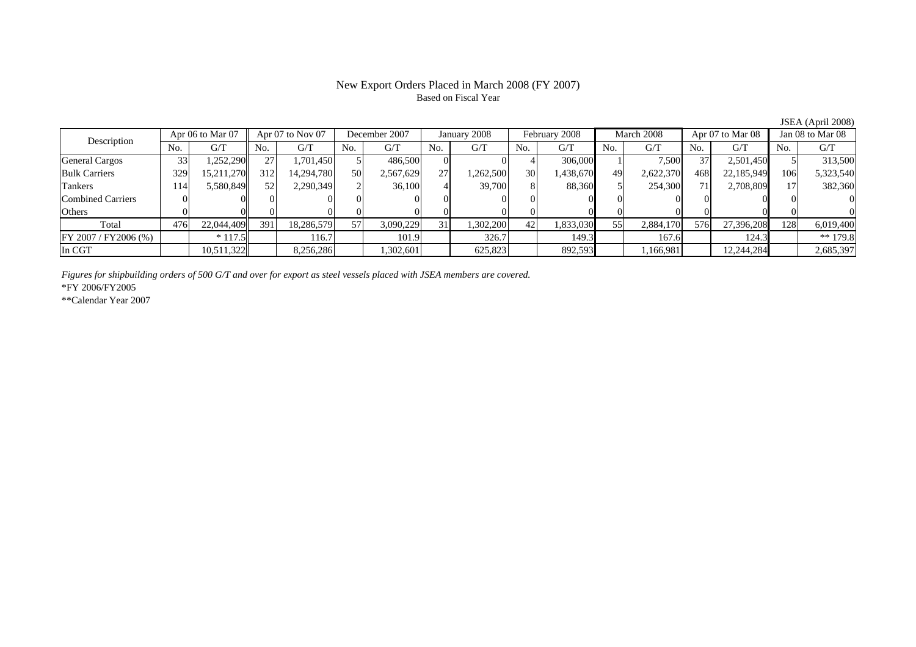### New Export Orders Placed in March 2008 (FY 2007) Based on Fiscal Year

No. G/T No. G/T No. G/T No. G/T No. G/T No. G/T No. G/T No. G/TGeneral Cargos ( 33 1,252,290 27 1,701,450 5 486,500 0 0 0 4 306,000 1 7,500 37 2,501,450 5 313,500 Bulk Carriers 329 15,211,270 312 14,294,780 50 2,567,629 27 1,262,500 30 1,438,670 49 2,622,370 468 22,185,949 106 5,323,540 Tankers | 114| 5,580,849|| 52| 2,290,349| 2| 36,100| 4| 39,700| 8| 88,360| 5| 254,300| 71| 2,708,809|| 17| 382,360 Combined Carriers 0 0 0 0 0 0 0 0 0 0 0 0 0 0 0 0Others 0 0 0 0 0 0 0 0 0 0 0 0 0 0 0 0 $\mathbf{0}$ Total 476 22,044,409 391 18,286,579 57 3,090,229 31 1,302,200 42 1,833,030 55 2,884,170 576 27,396,208 128 6,019,400  $\boxed{\text{FY 2007/FY2006 } (\%) }$  \* 117.5 101.9 101.9 101.9 326.7 149.3 167.6 124.3 \*\* 179.8 In CGT | | 10,511,322 | | 8,256,286 | | 1,302,601 | | 625,823 | | 892,593 | | 1,166,981 | | 12,244,284 | | 2,685,397 Apr 07 to Nov 07 December 2007 January 2008 Description Apr 06 to Mar 07 February 2008 March 2008 Apr 07 to Mar 08 Jan 08 to Mar 08

*Figures for shipbuilding orders of 500 G/T and over for export as steel vessels placed with JSEA members are covered.*

\*FY 2006/FY2005

\*\*Calendar Year 2007

JSEA (April 2008)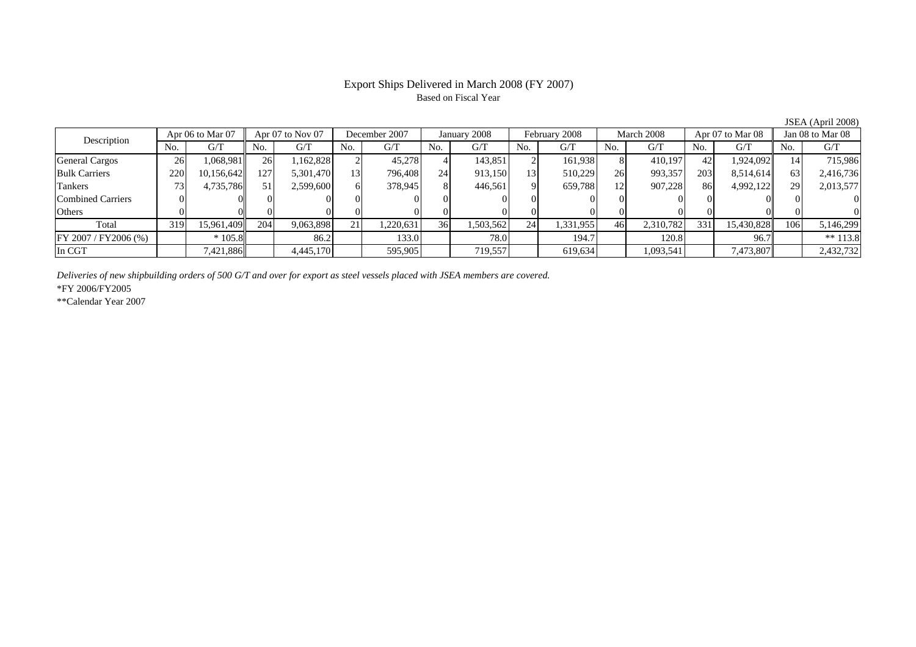### Export Ships Delivered in March 2008 (FY 2007) Based on Fiscal Year

No. G/T No. G/T No. G/T No. G/T No. G/T No. G/T No. G/T No. G/T $G/T$ General Cargos | 26 | 1,068,981 || 26 | 1,162,828 | 2 | 45,278 | 4 | 143,851 | 2 | 161,938 | 8 | 410,197 | 42 | 1,924,092 || Bulk Carriers 220 10,156,642 127 5,301,470 13 796,408 24 913,150 13 510,229 26 993,357 203 8,514,614 63 2,416,736 Tankers | 73| 4,735,786|| 51| 2,599,600| 6| 378,945| 8| 446,561| 9| 659,788| 12| 907,228| 86| 4,992,122|| 29| 2,013,577 Combined Carriers 0 0 0 0 0 0 0 0 0 0 0 0 0 0 0 0Others | 0 | 0 | 0 | 0 | 0 | 0 | 0 | 0 | 0 | 0 | Total 319 15,961,409 204 9,063,898 21 1,220,631 36 1,503,562 24 1,331,955 46 2,310,782 331 15,430,828 106 5,146,299 |FY 2007 / FY2006 (%) | | \* 105.8 | | 86.2 | 133.0 | 78.0 | 194.7 | 120.8 | 96.7 | \*\* 113.8 In CGT | | 7,421,886|| | 4,445,170 | | 595,905| | 719,557 | | 619,634| | 1,093,541 | | 7,473,807|| | 2,432,732 Apr 06 to Mar 07 Apr 07 to Nov 07 December 2007 January 2008 February 2008 March 2008 Apr 07 to Mar 08 Jan 08 to Mar 08 Description

*Deliveries of new shipbuilding orders of 500 G/T and over for export as steel vessels placed with JSEA members are covered.*

\*FY 2006/FY2005

\*\*Calendar Year 2007

JSEA (April 2008)